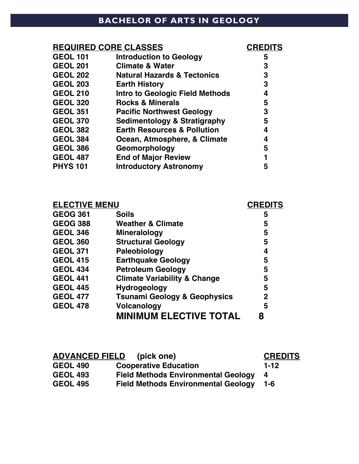### **BACHELOR OF ARTS IN GEOLOGY**

#### **REQUIRED CORE CLASSES CREDITS GEOL 101 Introduction to Geology 5 GEOL 201 Climate & Water 3 GEOL 202 Natural Hazards & Tectonics 3 GEOL 203 Earth History 3 GEOL 210 Intro to Geologic Field Methods 4 GEOL 320 Rocks & Minerals 5 GEOL 351 Pacific Northwest Geology 3 GEOL 370 Sedimentology & Stratigraphy 5 GEOL 382 Earth Resources & Pollution 4 GEOL 384 Ocean, Atmosphere, & Climate 4 GEOL 386 Geomorphology 5 GEOL 487 End of Major Review 1 PHYS 101 Introductory Astronomy 5**

| <b>ELECTIVE MENU</b> |                                         | <b>CREDITS</b> |
|----------------------|-----------------------------------------|----------------|
| <b>GEOG 361</b>      | <b>Soils</b>                            | 5              |
| <b>GEOG 388</b>      | <b>Weather &amp; Climate</b>            | 5              |
| <b>GEOL 346</b>      | <b>Mineralology</b>                     | 5              |
| <b>GEOL 360</b>      | <b>Structural Geology</b>               | 5              |
| <b>GEOL 371</b>      | Paleobiology                            | 4              |
| <b>GEOL 415</b>      | <b>Earthquake Geology</b>               | 5              |
| <b>GEOL 434</b>      | <b>Petroleum Geology</b>                | 5              |
| <b>GEOL 441</b>      | <b>Climate Variability &amp; Change</b> | 5              |
| <b>GEOL 445</b>      | <b>Hydrogeology</b>                     | 5              |
| <b>GEOL 477</b>      | <b>Tsunami Geology &amp; Geophysics</b> | 2              |
| <b>GEOL 478</b>      | <b>Volcanology</b>                      | 5              |
|                      | <b>MINIMUM ELECTIVE TOTAL</b>           | 8              |

| <b>ADVANCED FIELD</b> (pick one) | <b>CREDITS</b>                             |      |
|----------------------------------|--------------------------------------------|------|
| <b>GEOL 490</b>                  | <b>Cooperative Education</b>               | 1-12 |
| <b>GEOL 493</b>                  | <b>Field Methods Environmental Geology</b> | -4   |
| <b>GEOL 495</b>                  | <b>Field Methods Environmental Geology</b> | 1-6  |